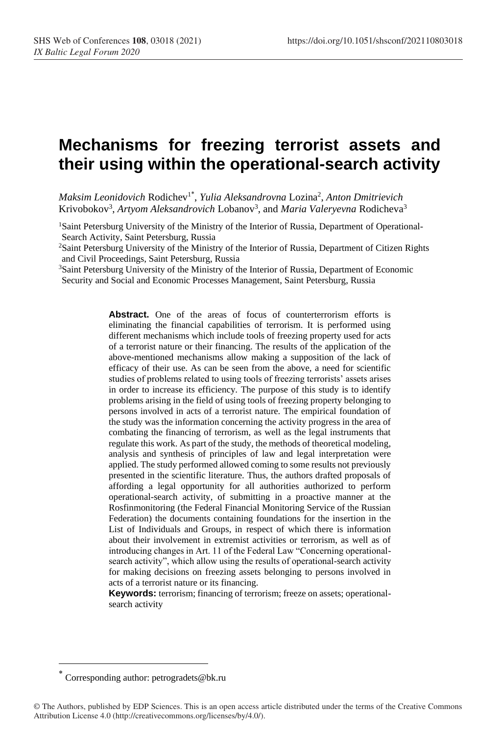# **Mechanisms for freezing terrorist assets and their using within the operational-search activity**

*Maksim Leonidovich* Rodichev<sup>1</sup>\* , *Yulia Aleksandrovna* Lozina<sup>2</sup> , *Anton Dmitrievich* Krivobokov<sup>3</sup>, Artyom Aleksandrovich Lobanov<sup>3</sup>, and Maria Valeryevna Rodicheva<sup>3</sup>

<sup>1</sup>Saint Petersburg University of the Ministry of the Interior of Russia, Department of Operational-Search Activity, Saint Petersburg, Russia

<sup>2</sup>Saint Petersburg University of the Ministry of the Interior of Russia, Department of Citizen Rights and Civil Proceedings, Saint Petersburg, Russia

<sup>3</sup>Saint Petersburg University of the Ministry of the Interior of Russia, Department of Economic Security and Social and Economic Processes Management, Saint Petersburg, Russia

> Abstract. One of the areas of focus of counterterrorism efforts is eliminating the financial capabilities of terrorism. It is performed using different mechanisms which include tools of freezing property used for acts of a terrorist nature or their financing. The results of the application of the above-mentioned mechanisms allow making a supposition of the lack of efficacy of their use. As can be seen from the above, a need for scientific studies of problems related to using tools of freezing terrorists' assets arises in order to increase its efficiency. The purpose of this study is to identify problems arising in the field of using tools of freezing property belonging to persons involved in acts of a terrorist nature. The empirical foundation of the study was the information concerning the activity progress in the area of combating the financing of terrorism, as well as the legal instruments that regulate this work. As part of the study, the methods of theoretical modeling, analysis and synthesis of principles of law and legal interpretation were applied. The study performed allowed coming to some results not previously presented in the scientific literature. Thus, the authors drafted proposals of affording a legal opportunity for all authorities authorized to perform operational-search activity, of submitting in a proactive manner at the Rosfinmonitoring (the Federal Financial Monitoring Service of the Russian Federation) the documents containing foundations for the insertion in the List of Individuals and Groups, in respect of which there is information about their involvement in extremist activities or terrorism, as well as of introducing changes in Art. 11 of the Federal Law "Concerning operationalsearch activity", which allow using the results of operational-search activity for making decisions on freezing assets belonging to persons involved in acts of a terrorist nature or its financing.

> **Keywords:** terrorism; financing of terrorism; freeze on assets; operationalsearch activity

Corresponding author: petrogradets@bk.ru \*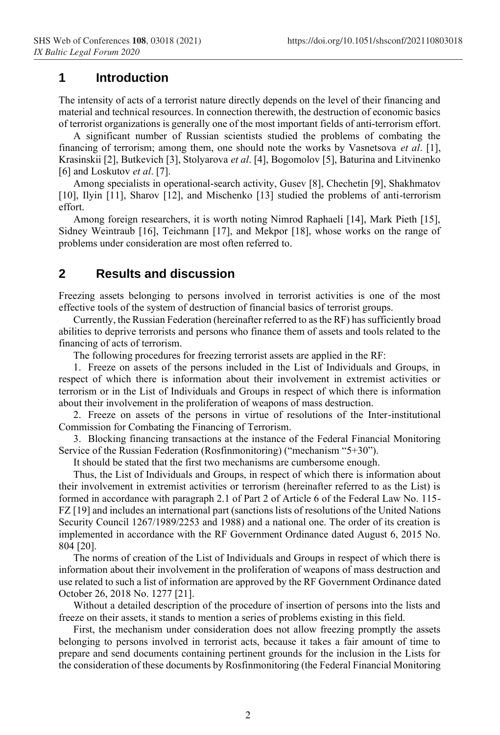#### **1 Introduction**

The intensity of acts of a terrorist nature directly depends on the level of their financing and material and technical resources. In connection therewith, the destruction of economic basics of terrorist organizations is generally one of the most important fields of anti-terrorism effort.

A significant number of Russian scientists studied the problems of combating the financing of terrorism; among them, one should note the works by Vasnetsova *et al*. [1], Krasinskii [2], Butkevich [3], Stolyarova *et al*. [4], Bogomolov [5], Baturina and Litvinenko [6] and Loskutov *et al*. [7].

Among specialists in operational-search activity, Gusev [8], Chechetin [9], Shakhmatov [10], Ilyin [11], Sharov [12], and Mischenko [13] studied the problems of anti-terrorism effort.

Among foreign researchers, it is worth noting Nimrod Raphaeli [14], Mark Pieth [15], Sidney Weintraub [16], Teichmann [17], and Mekpor [18], whose works on the range of problems under consideration are most often referred to.

### **2 Results and discussion**

Freezing assets belonging to persons involved in terrorist activities is one of the most effective tools of the system of destruction of financial basics of terrorist groups.

Currently, the Russian Federation (hereinafter referred to as the RF) has sufficiently broad abilities to deprive terrorists and persons who finance them of assets and tools related to the financing of acts of terrorism.

The following procedures for freezing terrorist assets are applied in the RF:

1. Freeze on assets of the persons included in the List of Individuals and Groups, in respect of which there is information about their involvement in extremist activities or terrorism or in the List of Individuals and Groups in respect of which there is information about their involvement in the proliferation of weapons of mass destruction.

2. Freeze on assets of the persons in virtue of resolutions of the Inter-institutional Commission for Combating the Financing of Terrorism.

3. Blocking financing transactions at the instance of the Federal Financial Monitoring Service of the Russian Federation (Rosfinmonitoring) ("mechanism "5+30").

It should be stated that the first two mechanisms are cumbersome enough.

Thus, the List of Individuals and Groups, in respect of which there is information about their involvement in extremist activities or terrorism (hereinafter referred to as the List) is formed in accordance with paragraph 2.1 of Part 2 of Article 6 of the Federal Law No. 115- FZ [19] and includes an international part (sanctions lists of resolutions of the United Nations Security Council 1267/1989/2253 and 1988) and a national one. The order of its creation is implemented in accordance with the RF Government Ordinance dated August 6, 2015 No. 804 [20].

The norms of creation of the List of Individuals and Groups in respect of which there is information about their involvement in the proliferation of weapons of mass destruction and use related to such a list of information are approved by the RF Government Ordinance dated October 26, 2018 No. 1277 [21].

Without a detailed description of the procedure of insertion of persons into the lists and freeze on their assets, it stands to mention a series of problems existing in this field.

First, the mechanism under consideration does not allow freezing promptly the assets belonging to persons involved in terrorist acts, because it takes a fair amount of time to prepare and send documents containing pertinent grounds for the inclusion in the Lists for the consideration of these documents by Rosfinmonitoring (the Federal Financial Monitoring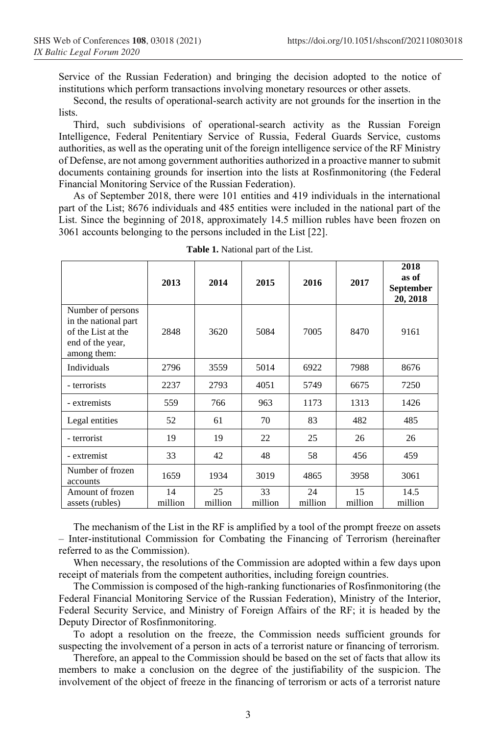Service of the Russian Federation) and bringing the decision adopted to the notice of institutions which perform transactions involving monetary resources or other assets.

Second, the results of operational-search activity are not grounds for the insertion in the lists.

Third, such subdivisions of operational-search activity as the Russian Foreign Intelligence, Federal Penitentiary Service of Russia, Federal Guards Service, customs authorities, as well as the operating unit of the foreign intelligence service of the RF Ministry of Defense, are not among government authorities authorized in a proactive manner to submit documents containing grounds for insertion into the lists at Rosfinmonitoring (the Federal Financial Monitoring Service of the Russian Federation).

As of September 2018, there were 101 entities and 419 individuals in the international part of the List; 8676 individuals and 485 entities were included in the national part of the List. Since the beginning of 2018, approximately 14.5 million rubles have been frozen on 3061 accounts belonging to the persons included in the List [22].

|                                                                                                    | 2013          | 2014          | 2015          | 2016          | 2017          | 2018<br>as of<br><b>September</b><br>20, 2018 |
|----------------------------------------------------------------------------------------------------|---------------|---------------|---------------|---------------|---------------|-----------------------------------------------|
| Number of persons<br>in the national part<br>of the List at the<br>end of the year,<br>among them: | 2848          | 3620          | 5084          | 7005          | 8470          | 9161                                          |
| Individuals                                                                                        | 2796          | 3559          | 5014          | 6922          | 7988          | 8676                                          |
| - terrorists                                                                                       | 2237          | 2793          | 4051          | 5749          | 6675          | 7250                                          |
| - extremists                                                                                       | 559           | 766           | 963           | 1173          | 1313          | 1426                                          |
| Legal entities                                                                                     | 52            | 61            | 70            | 83            | 482           | 485                                           |
| - terrorist                                                                                        | 19            | 19            | 22            | 25            | 26            | 26                                            |
| - extremist                                                                                        | 33            | 42            | 48            | 58            | 456           | 459                                           |
| Number of frozen<br>accounts                                                                       | 1659          | 1934          | 3019          | 4865          | 3958          | 3061                                          |
| Amount of frozen<br>assets (rubles)                                                                | 14<br>million | 25<br>million | 33<br>million | 24<br>million | 15<br>million | 14.5<br>million                               |

**Table 1.** National part of the List.

The mechanism of the List in the RF is amplified by a tool of the prompt freeze on assets – Inter-institutional Commission for Combating the Financing of Terrorism (hereinafter referred to as the Commission).

When necessary, the resolutions of the Commission are adopted within a few days upon receipt of materials from the competent authorities, including foreign countries.

The Commission is composed of the high-ranking functionaries of Rosfinmonitoring (the Federal Financial Monitoring Service of the Russian Federation), Ministry of the Interior, Federal Security Service, and Ministry of Foreign Affairs of the RF; it is headed by the Deputy Director of Rosfinmonitoring.

To adopt a resolution on the freeze, the Commission needs sufficient grounds for suspecting the involvement of a person in acts of a terrorist nature or financing of terrorism.

Therefore, an appeal to the Commission should be based on the set of facts that allow its members to make a conclusion on the degree of the justifiability of the suspicion. The involvement of the object of freeze in the financing of terrorism or acts of a terrorist nature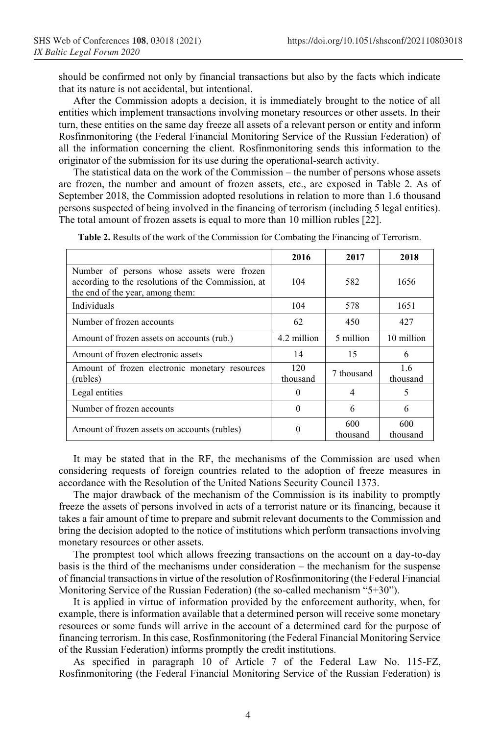should be confirmed not only by financial transactions but also by the facts which indicate that its nature is not accidental, but intentional.

After the Commission adopts a decision, it is immediately brought to the notice of all entities which implement transactions involving monetary resources or other assets. In their turn, these entities on the same day freeze all assets of a relevant person or entity and inform Rosfinmonitoring (the Federal Financial Monitoring Service of the Russian Federation) of all the information concerning the client. Rosfinmonitoring sends this information to the originator of the submission for its use during the operational-search activity.

The statistical data on the work of the Commission – the number of persons whose assets are frozen, the number and amount of frozen assets, etc., are exposed in Table 2. As of September 2018, the Commission adopted resolutions in relation to more than 1.6 thousand persons suspected of being involved in the financing of terrorism (including 5 legal entities). The total amount of frozen assets is equal to more than 10 million rubles [22].

|                                                                                                                                      | 2016            | 2017            | 2018            |
|--------------------------------------------------------------------------------------------------------------------------------------|-----------------|-----------------|-----------------|
| Number of persons whose assets were frozen<br>according to the resolutions of the Commission, at<br>the end of the year, among them: | 104             | 582             | 1656            |
| Individuals                                                                                                                          | 104             | 578             | 1651            |
| Number of frozen accounts                                                                                                            | 62              | 450             | 427             |
| Amount of frozen assets on accounts (rub.)                                                                                           | 4.2 million     | 5 million       | 10 million      |
| Amount of frozen electronic assets                                                                                                   | 14              | 15              | 6               |
| Amount of frozen electronic monetary resources<br>(rubles)                                                                           | 120<br>thousand | 7 thousand      | 1.6<br>thousand |
| Legal entities                                                                                                                       | $\Omega$        | 4               | 5               |
| Number of frozen accounts                                                                                                            | 0               | 6               | 6               |
| Amount of frozen assets on accounts (rubles)                                                                                         | 0               | 600<br>thousand | 600<br>thousand |

**Table 2.** Results of the work of the Commission for Combating the Financing of Terrorism.

It may be stated that in the RF, the mechanisms of the Commission are used when considering requests of foreign countries related to the adoption of freeze measures in accordance with the Resolution of the United Nations Security Council 1373.

The major drawback of the mechanism of the Commission is its inability to promptly freeze the assets of persons involved in acts of a terrorist nature or its financing, because it takes a fair amount of time to prepare and submit relevant documents to the Commission and bring the decision adopted to the notice of institutions which perform transactions involving monetary resources or other assets.

The promptest tool which allows freezing transactions on the account on a day-to-day basis is the third of the mechanisms under consideration – the mechanism for the suspense of financial transactions in virtue of the resolution of Rosfinmonitoring (the Federal Financial Monitoring Service of the Russian Federation) (the so-called mechanism "5+30").

It is applied in virtue of information provided by the enforcement authority, when, for example, there is information available that a determined person will receive some monetary resources or some funds will arrive in the account of a determined card for the purpose of financing terrorism. In this case, Rosfinmonitoring (the Federal Financial Monitoring Service of the Russian Federation) informs promptly the credit institutions.

As specified in paragraph 10 of Article 7 of the Federal Law No. 115-FZ, Rosfinmonitoring (the Federal Financial Monitoring Service of the Russian Federation) is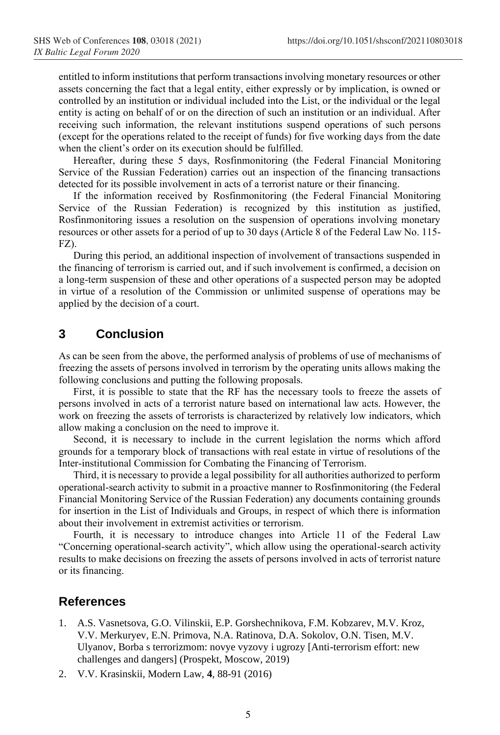entitled to inform institutions that perform transactions involving monetary resources or other assets concerning the fact that a legal entity, either expressly or by implication, is owned or controlled by an institution or individual included into the List, or the individual or the legal entity is acting on behalf of or on the direction of such an institution or an individual. After receiving such information, the relevant institutions suspend operations of such persons (except for the operations related to the receipt of funds) for five working days from the date when the client's order on its execution should be fulfilled.

Hereafter, during these 5 days, Rosfinmonitoring (the Federal Financial Monitoring Service of the Russian Federation) carries out an inspection of the financing transactions detected for its possible involvement in acts of a terrorist nature or their financing.

If the information received by Rosfinmonitoring (the Federal Financial Monitoring Service of the Russian Federation) is recognized by this institution as justified, Rosfinmonitoring issues a resolution on the suspension of operations involving monetary resources or other assets for a period of up to 30 days (Article 8 of the Federal Law No. 115- FZ).

During this period, an additional inspection of involvement of transactions suspended in the financing of terrorism is carried out, and if such involvement is confirmed, a decision on a long-term suspension of these and other operations of a suspected person may be adopted in virtue of a resolution of the Commission or unlimited suspense of operations may be applied by the decision of a court.

## **3 Conclusion**

As can be seen from the above, the performed analysis of problems of use of mechanisms of freezing the assets of persons involved in terrorism by the operating units allows making the following conclusions and putting the following proposals.

First, it is possible to state that the RF has the necessary tools to freeze the assets of persons involved in acts of a terrorist nature based on international law acts. However, the work on freezing the assets of terrorists is characterized by relatively low indicators, which allow making a conclusion on the need to improve it.

Second, it is necessary to include in the current legislation the norms which afford grounds for a temporary block of transactions with real estate in virtue of resolutions of the Inter-institutional Commission for Combating the Financing of Terrorism.

Third, it is necessary to provide a legal possibility for all authorities authorized to perform operational-search activity to submit in a proactive manner to Rosfinmonitoring (the Federal Financial Monitoring Service of the Russian Federation) any documents containing grounds for insertion in the List of Individuals and Groups, in respect of which there is information about their involvement in extremist activities or terrorism.

Fourth, it is necessary to introduce changes into Article 11 of the Federal Law "Concerning operational-search activity", which allow using the operational-search activity results to make decisions on freezing the assets of persons involved in acts of terrorist nature or its financing.

#### **References**

- 1. A.S. Vasnetsova, G.O. Vilinskii, E.P. Gorshechnikova, F.M. Kobzarev, M.V. Kroz, V.V. Merkuryev, E.N. Primova, N.A. Ratinova, D.A. Sokolov, O.N. Tisen, M.V. Ulyanov, Borba s terrorizmom: novye vyzovy i ugrozy [Anti-terrorism effort: new challenges and dangers] (Prospekt, Moscow, 2019)
- 2. V.V. Krasinskii, Modern Law, **4**, 88-91 (2016)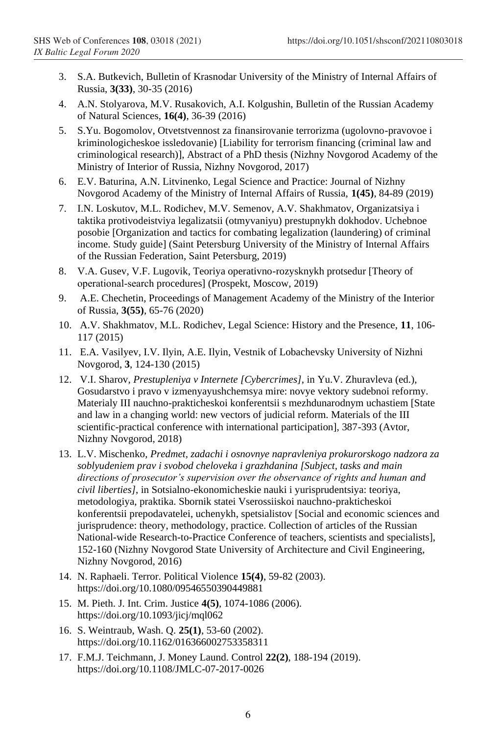- 3. S.A. Butkevich, Bulletin of Krasnodar University of the Ministry of Internal Affairs of Russia, **3(33)**, 30-35 (2016)
- 4. A.N. Stolyarova, M.V. Rusakovich, A.I. Kolgushin, Bulletin of the Russian Academy of Natural Sciences, **16(4)**, 36-39 (2016)
- 5. S.Yu. Bogomolov, Otvetstvennost za finansirovanie terrorizma (ugolovno-pravovoe i kriminologicheskoe issledovanie) [Liability for terrorism financing (criminal law and criminological research)], Abstract of a PhD thesis (Nizhny Novgorod Academy of the Ministry of Interior of Russia, Nizhny Novgorod, 2017)
- 6. E.V. Baturina, A.N. Litvinenko, Legal Science and Practice: Journal of Nizhny Novgorod Academy of the Ministry of Internal Affairs of Russia, **1(45)**, 84-89 (2019)
- 7. I.N. Loskutov, M.L. Rodichev, M.V. Semenov, A.V. Shakhmatov, Organizatsiya i taktika protivodeistviya legalizatsii (otmyvaniyu) prestupnykh dokhodov. Uchebnoe posobie [Organization and tactics for combating legalization (laundering) of criminal income. Study guide] (Saint Petersburg University of the Ministry of Internal Affairs of the Russian Federation, Saint Petersburg, 2019)
- 8. V.A. Gusev, V.F. Lugovik, Teoriya operativno-rozysknykh protsedur [Theory of operational-search procedures] (Prospekt, Moscow, 2019)
- 9. A.E. Chechetin, Proceedings of Management Academy of the Ministry of the Interior of Russia, **3(55)**, 65-76 (2020)
- 10. A.V. Shakhmatov, M.L. Rodichev, Legal Science: History and the Presence, **11**, 106- 117 (2015)
- 11. E.A. Vasilyev, I.V. Ilyin, A.E. Ilyin, Vestnik of Lobachevsky University of Nizhni Novgorod, **3**, 124-130 (2015)
- 12. V.I. Sharov, *Prestupleniya v Internete [Cybercrimes]*, in Yu.V. Zhuravleva (ed.), Gosudarstvo i pravo v izmenyayushchemsya mire: novye vektory sudebnoi reformy. Materialy III nauchno-prakticheskoi konferentsii s mezhdunarodnym uchastiem [State and law in a changing world: new vectors of judicial reform. Materials of the III scientific-practical conference with international participation], 387-393 (Avtor, Nizhny Novgorod, 2018)
- 13. L.V. Mischenko, *Predmet, zadachi i osnovnye napravleniya prokurorskogo nadzora za soblyudeniem prav i svobod cheloveka i grazhdanina [Subject, tasks and main directions of prosecutor's supervision over the observance of rights and human and civil liberties]*, in Sotsialno-ekonomicheskie nauki i yurisprudentsiya: teoriya, metodologiya, praktika. Sbornik statei Vserossiiskoi nauchno-prakticheskoi konferentsii prepodavatelei, uchenykh, spetsialistov [Social and economic sciences and jurisprudence: theory, methodology, practice. Collection of articles of the Russian National-wide Research-to-Practice Conference of teachers, scientists and specialists], 152-160 (Nizhny Novgorod State University of Architecture and Civil Engineering, Nizhny Novgorod, 2016)
- 14. N. Raphaeli. Terror. Political Violence **15(4)**, 59-82 (2003). https://doi.org/10.1080/09546550390449881
- 15. M. Pieth. J. Int. Crim. Justice **4(5)**, 1074-1086 (2006). https://doi.org/10.1093/jicj/mql062
- 16. S. Weintraub, Wash. Q. **25(1)**, 53-60 (2002). https://doi.org/10.1162/016366002753358311
- 17. F.M.J. Teichmann, J. Money Laund. Control **22(2)**, 188-194 (2019). https://doi.org/10.1108/JMLC-07-2017-0026